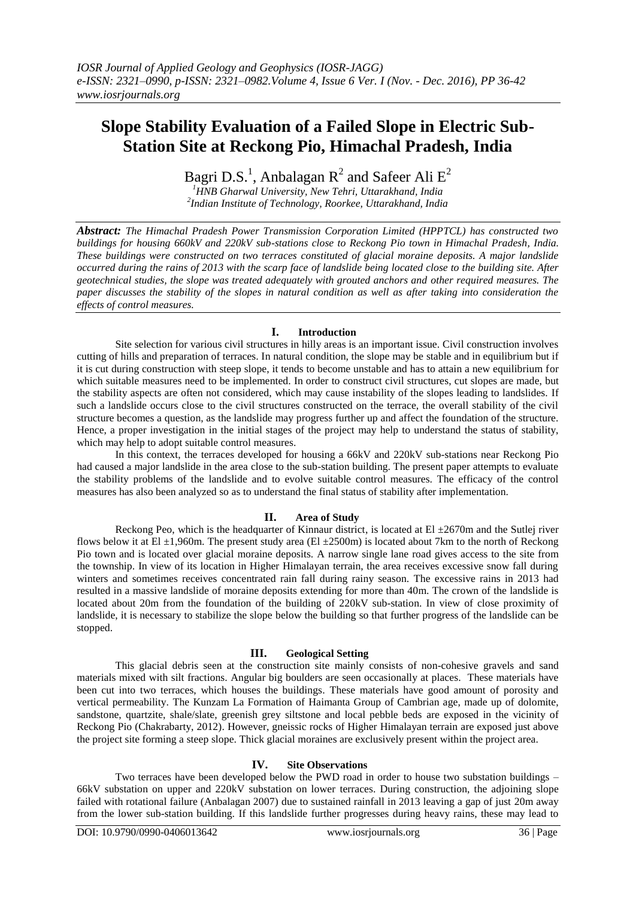# **Slope Stability Evaluation of a Failed Slope in Electric Sub-Station Site at Reckong Pio, Himachal Pradesh, India**

Bagri D.S.<sup>1</sup>, Anbalagan R<sup>2</sup> and Safeer Ali  $E^2$ 

*<sup>1</sup>HNB Gharwal University, New Tehri, Uttarakhand, India 2 Indian Institute of Technology, Roorkee, Uttarakhand, India*

*Abstract: The Himachal Pradesh Power Transmission Corporation Limited (HPPTCL) has constructed two buildings for housing 660kV and 220kV sub-stations close to Reckong Pio town in Himachal Pradesh, India. These buildings were constructed on two terraces constituted of glacial moraine deposits. A major landslide occurred during the rains of 2013 with the scarp face of landslide being located close to the building site. After geotechnical studies, the slope was treated adequately with grouted anchors and other required measures. The paper discusses the stability of the slopes in natural condition as well as after taking into consideration the effects of control measures.* 

## **I. Introduction**

Site selection for various civil structures in hilly areas is an important issue. Civil construction involves cutting of hills and preparation of terraces. In natural condition, the slope may be stable and in equilibrium but if it is cut during construction with steep slope, it tends to become unstable and has to attain a new equilibrium for which suitable measures need to be implemented. In order to construct civil structures, cut slopes are made, but the stability aspects are often not considered, which may cause instability of the slopes leading to landslides. If such a landslide occurs close to the civil structures constructed on the terrace, the overall stability of the civil structure becomes a question, as the landslide may progress further up and affect the foundation of the structure. Hence, a proper investigation in the initial stages of the project may help to understand the status of stability, which may help to adopt suitable control measures.

In this context, the terraces developed for housing a 66kV and 220kV sub-stations near Reckong Pio had caused a major landslide in the area close to the sub-station building. The present paper attempts to evaluate the stability problems of the landslide and to evolve suitable control measures. The efficacy of the control measures has also been analyzed so as to understand the final status of stability after implementation.

## **II. Area of Study**

Reckong Peo, which is the headquarter of Kinnaur district, is located at El  $\pm 2670$ m and the Sutlej river flows below it at El  $\pm 1,960$ m. The present study area (El  $\pm 2500$ m) is located about 7km to the north of Reckong Pio town and is located over glacial moraine deposits. A narrow single lane road gives access to the site from the township. In view of its location in Higher Himalayan terrain, the area receives excessive snow fall during winters and sometimes receives concentrated rain fall during rainy season. The excessive rains in 2013 had resulted in a massive landslide of moraine deposits extending for more than 40m. The crown of the landslide is located about 20m from the foundation of the building of 220kV sub-station. In view of close proximity of landslide, it is necessary to stabilize the slope below the building so that further progress of the landslide can be stopped.

#### **III. Geological Setting**

This glacial debris seen at the construction site mainly consists of non-cohesive gravels and sand materials mixed with silt fractions. Angular big boulders are seen occasionally at places. These materials have been cut into two terraces, which houses the buildings. These materials have good amount of porosity and vertical permeability. The Kunzam La Formation of Haimanta Group of Cambrian age, made up of dolomite, sandstone, quartzite, shale/slate, greenish grey siltstone and local pebble beds are exposed in the vicinity of Reckong Pio (Chakrabarty, 2012). However, gneissic rocks of Higher Himalayan terrain are exposed just above the project site forming a steep slope. Thick glacial moraines are exclusively present within the project area.

#### **IV. Site Observations**

Two terraces have been developed below the PWD road in order to house two substation buildings – 66kV substation on upper and 220kV substation on lower terraces. During construction, the adjoining slope failed with rotational failure (Anbalagan 2007) due to sustained rainfall in 2013 leaving a gap of just 20m away from the lower sub-station building. If this landslide further progresses during heavy rains, these may lead to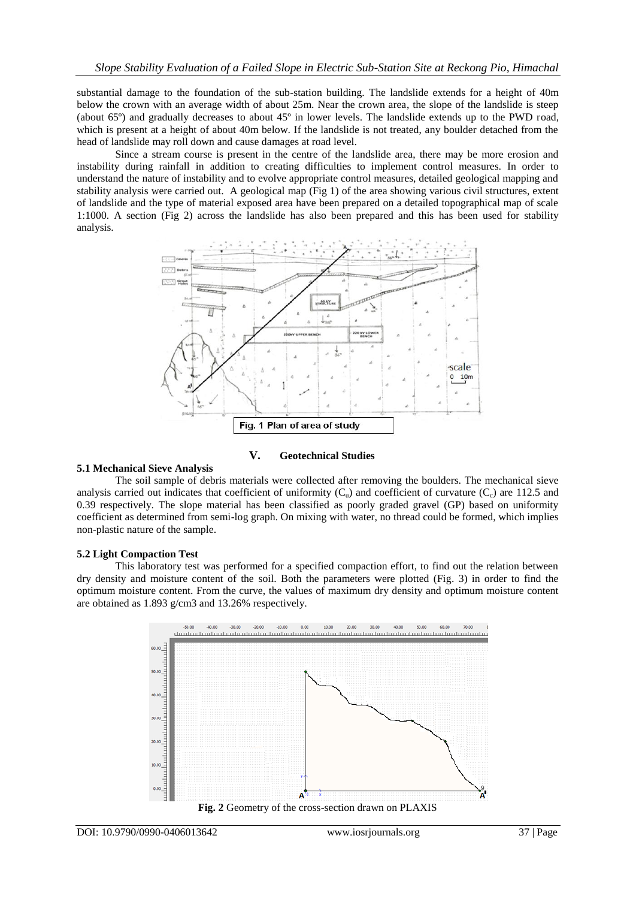substantial damage to the foundation of the sub-station building. The landslide extends for a height of 40m below the crown with an average width of about 25m. Near the crown area, the slope of the landslide is steep (about 65º) and gradually decreases to about 45º in lower levels. The landslide extends up to the PWD road, which is present at a height of about 40m below. If the landslide is not treated, any boulder detached from the head of landslide may roll down and cause damages at road level.

Since a stream course is present in the centre of the landslide area, there may be more erosion and instability during rainfall in addition to creating difficulties to implement control measures. In order to understand the nature of instability and to evolve appropriate control measures, detailed geological mapping and stability analysis were carried out. A geological map (Fig 1) of the area showing various civil structures, extent of landslide and the type of material exposed area have been prepared on a detailed topographical map of scale 1:1000. A section (Fig 2) across the landslide has also been prepared and this has been used for stability analysis.



## **V. Geotechnical Studies**

#### **5.1 Mechanical Sieve Analysis**

The soil sample of debris materials were collected after removing the boulders. The mechanical sieve analysis carried out indicates that coefficient of uniformity  $(C_u)$  and coefficient of curvature  $(C_c)$  are 112.5 and 0.39 respectively. The slope material has been classified as poorly graded gravel (GP) based on uniformity coefficient as determined from semi-log graph. On mixing with water, no thread could be formed, which implies non-plastic nature of the sample.

#### **5.2 Light Compaction Test**

This laboratory test was performed for a specified compaction effort, to find out the relation between dry density and moisture content of the soil. Both the parameters were plotted (Fig. 3) in order to find the optimum moisture content. From the curve, the values of maximum dry density and optimum moisture content are obtained as 1.893 g/cm3 and 13.26% respectively.

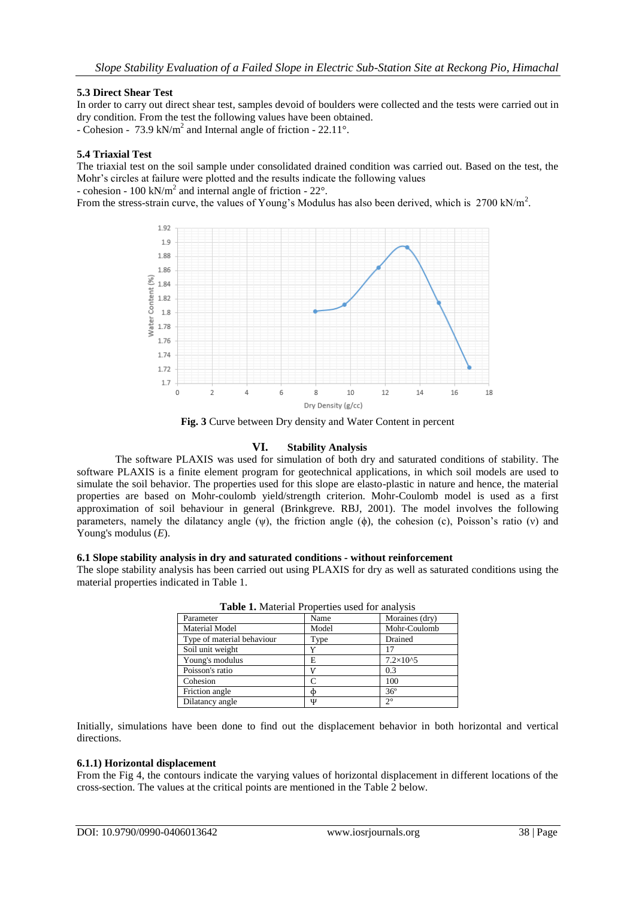## **5.3 Direct Shear Test**

In order to carry out direct shear test, samples devoid of boulders were collected and the tests were carried out in dry condition. From the test the following values have been obtained.

- Cohesion - 73.9 kN/ $m^2$  and Internal angle of friction - 22.11°.

## **5.4 Triaxial Test**

The triaxial test on the soil sample under consolidated drained condition was carried out. Based on the test, the Mohr's circles at failure were plotted and the results indicate the following values

- cohesion - 100 kN/m<sup>2</sup> and internal angle of friction -  $22^{\circ}$ .

From the stress-strain curve, the values of Young's Modulus has also been derived, which is 2700 kN/m<sup>2</sup>.



**Fig. 3** Curve between Dry density and Water Content in percent

## **VI. Stability Analysis**

The software PLAXIS was used for simulation of both dry and saturated conditions of stability. The software PLAXIS is a finite element program for geotechnical applications, in which soil models are used to simulate the soil behavior. The properties used for this slope are elasto-plastic in nature and hence, the material properties are based on Mohr-coulomb yield/strength criterion. Mohr-Coulomb model is used as a first approximation of soil behaviour in general (Brinkgreve. RBJ, 2001). The model involves the following parameters, namely the dilatancy angle (ψ), the friction angle (ϕ), the cohesion (c), Poisson's ratio (ν) and Young's modulus (*E*).

#### **6.1 Slope stability analysis in dry and saturated conditions - without reinforcement**

The slope stability analysis has been carried out using PLAXIS for dry as well as saturated conditions using the material properties indicated in Table 1.

| <b>Table 1.</b> Material I Toperties used for analysis |       |                     |  |  |
|--------------------------------------------------------|-------|---------------------|--|--|
| Parameter                                              | Name  | Moraines (dry)      |  |  |
| <b>Material Model</b>                                  | Model | Mohr-Coulomb        |  |  |
| Type of material behaviour                             | Type  | Drained             |  |  |
| Soil unit weight                                       | Y     |                     |  |  |
| Young's modulus                                        | E     | $7.2 \times 10^{6}$ |  |  |
| Poisson's ratio                                        |       | 0.3                 |  |  |
| Cohesion                                               | C     | 100                 |  |  |
| Friction angle                                         | Φ     | $36^{\circ}$        |  |  |
| Dilatancy angle                                        | Ψ     | $2^{\circ}$         |  |  |

**Table 1.** Material Properties used for analysis

Initially, simulations have been done to find out the displacement behavior in both horizontal and vertical directions.

#### **6.1.1) Horizontal displacement**

From the Fig 4, the contours indicate the varying values of horizontal displacement in different locations of the cross-section. The values at the critical points are mentioned in the Table 2 below.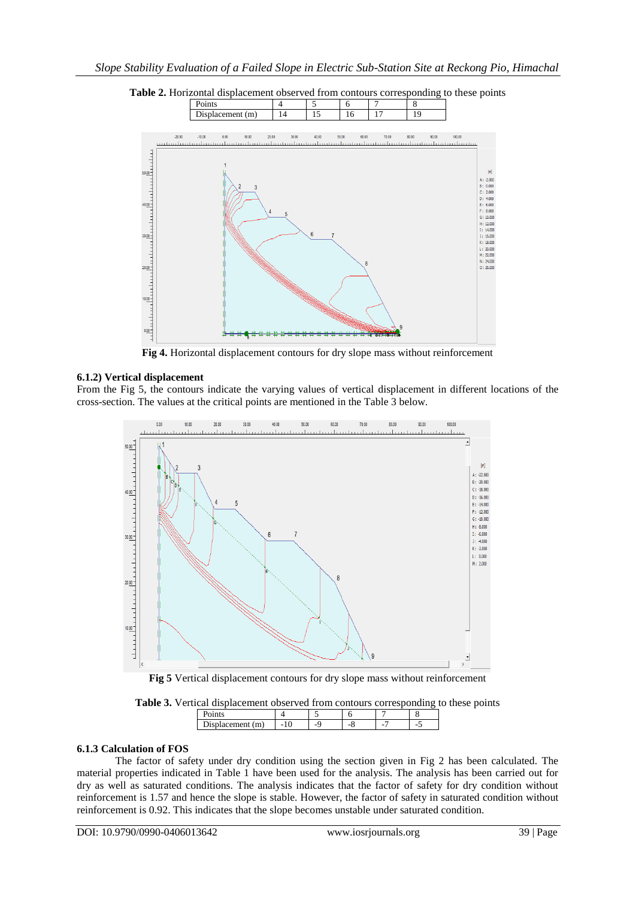



**Fig 4.** Horizontal displacement contours for dry slope mass without reinforcement

## **6.1.2) Vertical displacement**

From the Fig 5, the contours indicate the varying values of vertical displacement in different locations of the cross-section. The values at the critical points are mentioned in the Table 3 below.



**Fig 5** Vertical displacement contours for dry slope mass without reinforcement

**Table 3.** Vertical displacement observed from contours corresponding to these points

| -<br> |  | ۰ | ۰ |
|-------|--|---|---|

#### **6.1.3 Calculation of FOS**

The factor of safety under dry condition using the section given in Fig 2 has been calculated. The material properties indicated in Table 1 have been used for the analysis. The analysis has been carried out for dry as well as saturated conditions. The analysis indicates that the factor of safety for dry condition without reinforcement is 1.57 and hence the slope is stable. However, the factor of safety in saturated condition without reinforcement is 0.92. This indicates that the slope becomes unstable under saturated condition.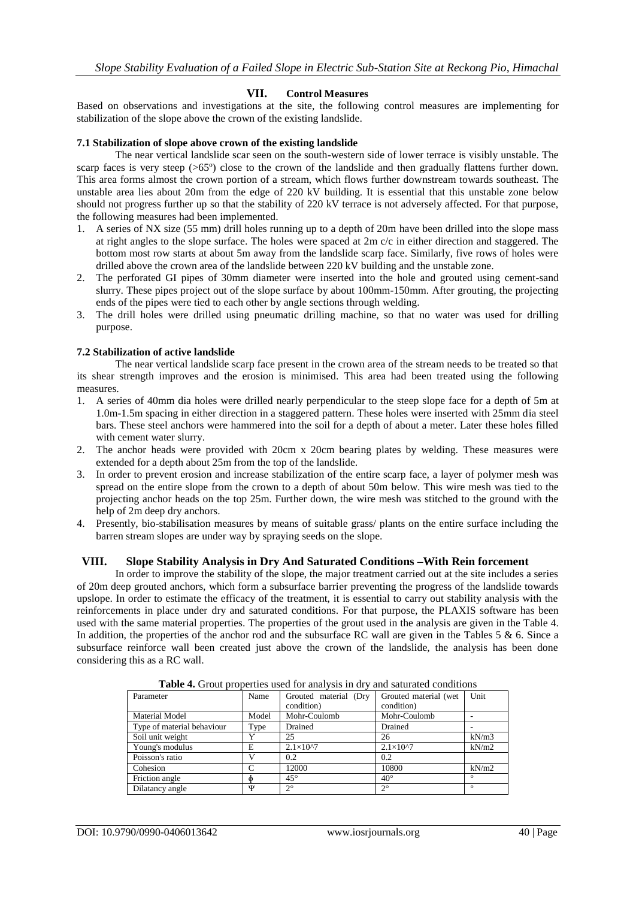## **VII. Control Measures**

Based on observations and investigations at the site, the following control measures are implementing for stabilization of the slope above the crown of the existing landslide.

#### **7.1 Stabilization of slope above crown of the existing landslide**

The near vertical landslide scar seen on the south-western side of lower terrace is visibly unstable. The scarp faces is very steep ( $>65^{\circ}$ ) close to the crown of the landslide and then gradually flattens further down. This area forms almost the crown portion of a stream, which flows further downstream towards southeast. The unstable area lies about 20m from the edge of 220 kV building. It is essential that this unstable zone below should not progress further up so that the stability of 220 kV terrace is not adversely affected. For that purpose, the following measures had been implemented.

- 1. A series of NX size (55 mm) drill holes running up to a depth of 20m have been drilled into the slope mass at right angles to the slope surface. The holes were spaced at 2m c/c in either direction and staggered. The bottom most row starts at about 5m away from the landslide scarp face. Similarly, five rows of holes were drilled above the crown area of the landslide between 220 kV building and the unstable zone.
- 2. The perforated GI pipes of 30mm diameter were inserted into the hole and grouted using cement-sand slurry. These pipes project out of the slope surface by about 100mm-150mm. After grouting, the projecting ends of the pipes were tied to each other by angle sections through welding.
- 3. The drill holes were drilled using pneumatic drilling machine, so that no water was used for drilling purpose.

#### **7.2 Stabilization of active landslide**

The near vertical landslide scarp face present in the crown area of the stream needs to be treated so that its shear strength improves and the erosion is minimised. This area had been treated using the following measures.

- 1. A series of 40mm dia holes were drilled nearly perpendicular to the steep slope face for a depth of 5m at 1.0m-1.5m spacing in either direction in a staggered pattern. These holes were inserted with 25mm dia steel bars. These steel anchors were hammered into the soil for a depth of about a meter. Later these holes filled with cement water slurry.
- 2. The anchor heads were provided with 20cm x 20cm bearing plates by welding. These measures were extended for a depth about 25m from the top of the landslide.
- 3. In order to prevent erosion and increase stabilization of the entire scarp face, a layer of polymer mesh was spread on the entire slope from the crown to a depth of about 50m below. This wire mesh was tied to the projecting anchor heads on the top 25m. Further down, the wire mesh was stitched to the ground with the help of 2m deep dry anchors.
- 4. Presently, bio-stabilisation measures by means of suitable grass/ plants on the entire surface including the barren stream slopes are under way by spraying seeds on the slope.

#### **VIII. Slope Stability Analysis in Dry And Saturated Conditions –With Rein forcement**

In order to improve the stability of the slope, the major treatment carried out at the site includes a series of 20m deep grouted anchors, which form a subsurface barrier preventing the progress of the landslide towards upslope. In order to estimate the efficacy of the treatment, it is essential to carry out stability analysis with the reinforcements in place under dry and saturated conditions. For that purpose, the PLAXIS software has been used with the same material properties. The properties of the grout used in the analysis are given in the Table 4. In addition, the properties of the anchor rod and the subsurface RC wall are given in the Tables  $5 \& 6$ . Since a subsurface reinforce wall been created just above the crown of the landslide, the analysis has been done considering this as a RC wall.

|                            |       | <b>THOIC</b> TO OTOUR proportion and to a matrix in the v | and saturated continuons |         |
|----------------------------|-------|-----------------------------------------------------------|--------------------------|---------|
| Parameter                  | Name  | Grouted material (Dry                                     | Grouted material (wet    | Unit    |
|                            |       | condition)                                                | condition)               |         |
| <b>Material Model</b>      | Model | Mohr-Coulomb                                              | Mohr-Coulomb             |         |
| Type of material behaviour | Type  | Drained                                                   | Drained                  |         |
| Soil unit weight           | v     | 25                                                        | 26                       | kN/m3   |
| Young's modulus            | E     | $2.1 \times 10^{27}$                                      | $2.1 \times 10^{4}$      | kN/m2   |
| Poisson's ratio            |       | 0.2                                                       | 0.2                      |         |
| Cohesion                   | C     | 12000                                                     | 10800                    | kN/m2   |
| Friction angle             |       | $45^{\circ}$                                              | $40^\circ$               | $\circ$ |
| Dilatancy angle            | Ψ     | $2^{\circ}$                                               | $2^{\circ}$              | $\circ$ |

**Table 4.** Grout properties used for analysis in dry and saturated conditions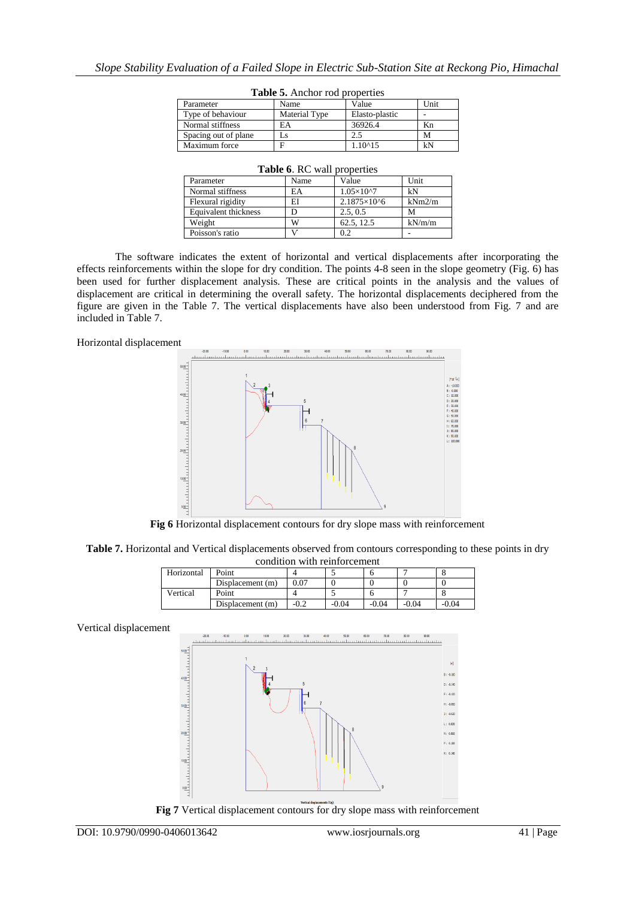| Parameter            | Name                 | Value          | Unit |
|----------------------|----------------------|----------------|------|
| Type of behaviour    | <b>Material Type</b> | Elasto-plastic |      |
| Normal stiffness     | EA                   | 36926.4        | Kn   |
| Spacing out of plane | LS.                  | 2.5            | M    |
| Maximum force        |                      | 1.10^15        | kN   |

**Table 5.** Anchor rod properties

| Parameter            | Name          | Value          | Unit |
|----------------------|---------------|----------------|------|
| Type of behaviour    | Material Type | Elasto-plastic |      |
| Normal stiffness     | EA            | 36926.4        | Кn   |
| Spacing out of plane | Ls            | 2.5            | М    |
| Maximum force        |               | 1.10^15        | kN   |
|                      |               |                |      |

| Parameter            | Name | Value                  | Unit   |
|----------------------|------|------------------------|--------|
| Normal stiffness     | EA   | $1.05\times10^{27}$    | kN     |
| Flexural rigidity    | EI   | $2.1875 \times 10^{6}$ | kNm2/m |
| Equivalent thickness |      | 2.5.0.5                | М      |
| Weight               | w    | 62.5, 12.5             | kN/m/m |
| Poisson's ratio      |      | 0.2                    |        |

### **Table 6**. RC wall properties

The software indicates the extent of horizontal and vertical displacements after incorporating the effects reinforcements within the slope for dry condition. The points 4-8 seen in the slope geometry (Fig. 6) has been used for further displacement analysis. These are critical points in the analysis and the values of displacement are critical in determining the overall safety. The horizontal displacements deciphered from the figure are given in the Table 7. The vertical displacements have also been understood from Fig. 7 and are included in Table 7.





**Fig 6** Horizontal displacement contours for dry slope mass with reinforcement

**Table 7.** Horizontal and Vertical displacements observed from contours corresponding to these points in dry condition with reinforcement

| Horizontal | Point            |        |         |         |         |         |
|------------|------------------|--------|---------|---------|---------|---------|
|            | Displacement (m) | 0.07   |         |         |         |         |
| Vertical   | Point            |        |         |         |         |         |
|            | Displacement (m) | $-0.2$ | $-0.04$ | $-0.04$ | $-0.04$ | $-0.04$ |

Vertical displacement



**Fig 7** Vertical displacement contours for dry slope mass with reinforcement